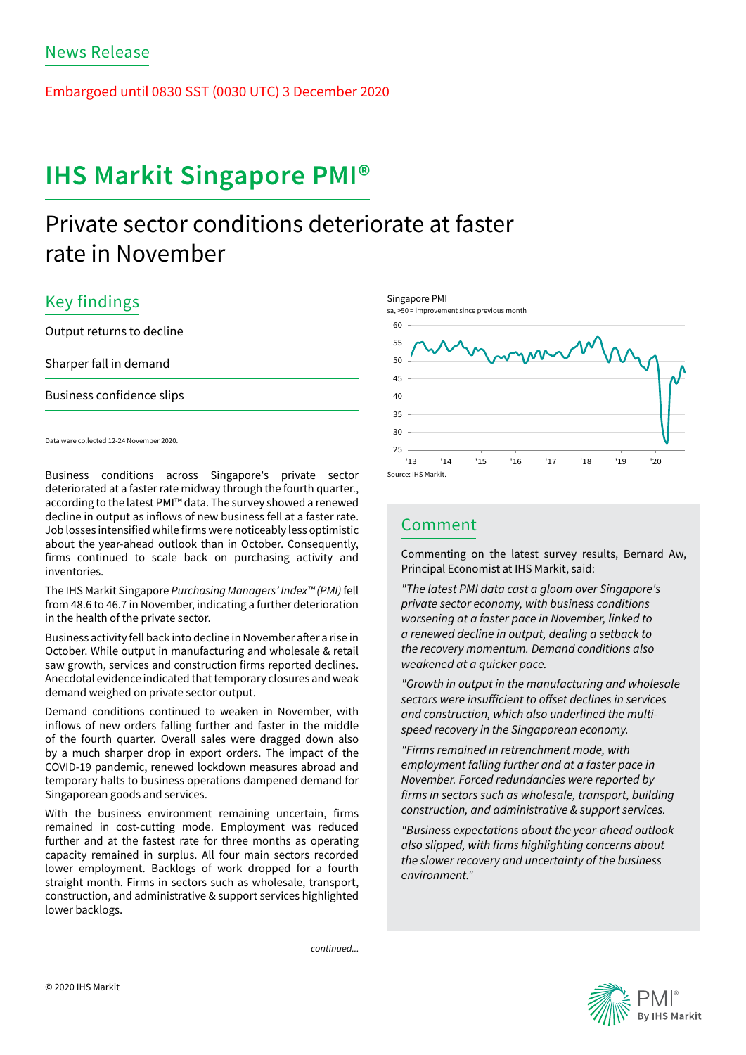Embargoed until 0830 SST (0030 UTC) 3 December 2020

# IHS Markit Singapore PMI®

## Private sector conditions deteriorate at faster rate in November

### Key findings

Output returns to decline Sharper fall in demand Business confidence slips

Data were collected 12-24 November 2020.

Business conditions across Singapore's private sector deteriorated at a faster rate midway through the fourth quarter., according to the latest PMI™ data. The survey showed a renewed decline in output as inflows of new business fell at a faster rate. Job losses intensified while firms were noticeably less optimistic about the year-ahead outlook than in October. Consequently, firms continued to scale back on purchasing activity and inventories.

The IHS Markit Singapore *Purchasing Managers' Index™ (PMI)* fell from 48.6 to 46.7 in November, indicating a further deterioration in the health of the private sector.

Business activity fell back into decline in November after a rise in October. While output in manufacturing and wholesale & retail saw growth, services and construction firms reported declines. Anecdotal evidence indicated that temporary closures and weak demand weighed on private sector output.

Demand conditions continued to weaken in November, with inflows of new orders falling further and faster in the middle of the fourth quarter. Overall sales were dragged down also by a much sharper drop in export orders. The impact of the COVID-19 pandemic, renewed lockdown measures abroad and temporary halts to business operations dampened demand for Singaporean goods and services.

With the business environment remaining uncertain, firms remained in cost-cutting mode. Employment was reduced further and at the fastest rate for three months as operating capacity remained in surplus. All four main sectors recorded lower employment. Backlogs of work dropped for a fourth straight month. Firms in sectors such as wholesale, transport, construction, and administrative & support services highlighted lower backlogs.

Singapore PMI





### Comment

Commenting on the latest survey results, Bernard Aw, Principal Economist at IHS Markit, said:

*"The latest PMI data cast a gloom over Singapore's private sector economy, with business conditions worsening at a faster pace in November, linked to a renewed decline in output, dealing a setback to the recovery momentum. Demand conditions also weakened at a quicker pace.*

*"Growth in output in the manufacturing and wholesale sectors were insufficient to offset declines in services and construction, which also underlined the multispeed recovery in the Singaporean economy.*

*"Firms remained in retrenchment mode, with employment falling further and at a faster pace in November. Forced redundancies were reported by firms in sectors such as wholesale, transport, building construction, and administrative & support services.* 

*"Business expectations about the year-ahead outlook also slipped, with firms highlighting concerns about the slower recovery and uncertainty of the business environment."*